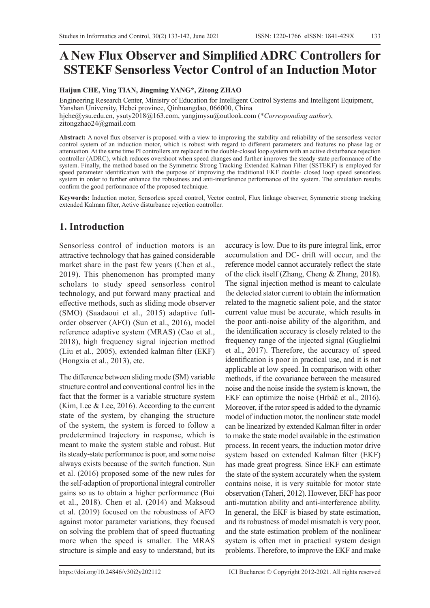# **A New Flux Observer and Simplified ADRC Controllers for SSTEKF Sensorless Vector Control of an Induction Motor**

#### **Haijun CHE, Ying TIAN, Jingming YANG\*, Zitong ZHAO**

Engineering Research Center, Ministry of Education for Intelligent Control Systems and Intelligent Equipment, Yanshan University, Hebei province, Qinhuangdao, 066000, China hjche@ysu.edu.cn, ysuty2018@163.com, yangjmysu@outlook.com (\**Corresponding author*), zitongzhao24@gmail.com

**Abstract:** A novel flux observer is proposed with a view to improving the stability and reliability of the sensorless vector control system of an induction motor, which is robust with regard to different parameters and features no phase lag or attenuation. At the same time PI controllers are replaced in the double-closed loop system with an active disturbance rejection controller (ADRC), which reduces overshoot when speed changes and further improves the steady-state performance of the system. Finally, the method based on the Symmetric Strong Tracking Extended Kalman Filter (SSTEKF) is employed for speed parameter identification with the purpose of improving the traditional EKF double- closed loop speed sensorless system in order to further enhance the robustness and anti-interference performance of the system. The simulation results confirm the good performance of the proposed technique.

**Keywords:** Induction motor, Sensorless speed control, Vector control, Flux linkage observer, Symmetric strong tracking extended Kalman filter, Active disturbance rejection controller.

## **1. Introduction**

Sensorless control of induction motors is an attractive technology that has gained considerable market share in the past few years (Chen et al., 2019). This phenomenon has prompted many scholars to study speed sensorless control technology, and put forward many practical and effective methods, such as sliding mode observer (SMO) (Saadaoui et al., 2015) adaptive fullorder observer (AFO) (Sun et al., 2016), model reference adaptive system (MRAS) (Cao et al., 2018), high frequency signal injection method (Liu et al., 2005), extended kalman filter (EKF) (Hongxia et al., 2013), etc.

The difference between sliding mode (SM) variable structure control and conventional control lies in the fact that the former is a variable structure system (Kim, Lee & Lee, 2016). According to the current state of the system, by changing the structure of the system, the system is forced to follow a predetermined trajectory in response, which is meant to make the system stable and robust. But its steady-state performance is poor, and some noise always exists because of the switch function. Sun et al. (2016) proposed some of the new rules for the self-adaption of proportional integral controller gains so as to obtain a higher performance (Bui et al., 2018). Chen et al. (2014) and Maksoud et al. (2019) focused on the robustness of AFO against motor parameter variations, they focused on solving the problem that of speed fluctuating more when the speed is smaller. The MRAS structure is simple and easy to understand, but its

accuracy is low. Due to its pure integral link, error accumulation and DC- drift will occur, and the reference model cannot accurately reflect the state of the click itself (Zhang, Cheng & Zhang, 2018). The signal injection method is meant to calculate the detected stator current to obtain the information related to the magnetic salient pole, and the stator current value must be accurate, which results in the poor anti-noise ability of the algorithm, and the identification accuracy is closely related to the frequency range of the injected signal (Guglielmi et al., 2017). Therefore, the accuracy of speed identification is poor in practical use, and it is not applicable at low speed. In comparison with other methods, if the covariance between the measured noise and the noise inside the system is known, the EKF can optimize the noise (Hrbáč et al., 2016). Moreover, if the rotor speed is added to the dynamic model of induction motor, the nonlinear state model can be linearized by extended Kalman filter in order to make the state model available in the estimation process. In recent years, the induction motor drive system based on extended Kalman filter (EKF) has made great progress. Since EKF can estimate the state of the system accurately when the system contains noise, it is very suitable for motor state observation (Taheri, 2012). However, EKF has poor anti-mutation ability and anti-interference ability. In general, the EKF is biased by state estimation, and its robustness of model mismatch is very poor, and the state estimation problem of the nonlinear system is often met in practical system design problems. Therefore, to improve the EKF and make

ISSN: 1220-1766 eISSN: 1841-429X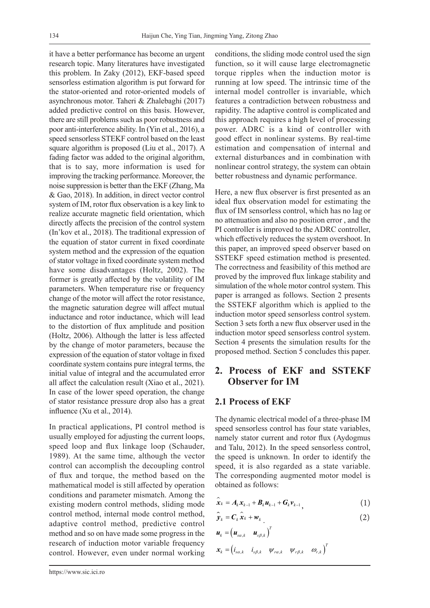it have a better performance has become an urgent research topic. Many literatures have investigated this problem. In Zaky (2012), EKF-based speed sensorless estimation algorithm is put forward for the stator-oriented and rotor-oriented models of asynchronous motor. Taheri & Zhalebaghi (2017) added predictive control on this basis. However, there are still problems such as poor robustness and poor anti-interference ability. In (Yin et al., 2016), a speed sensorless STEKF control based on the least square algorithm is proposed (Liu et al., 2017). A fading factor was added to the original algorithm, that is to say, more information is used for improving the tracking performance. Moreover, the noise suppression is better than the EKF (Zhang, Ma & Gao, 2018). In addition, in direct vector control system of IM, rotor flux observation is a key link to realize accurate magnetic field orientation, which directly affects the precision of the control system (In'kov et al., 2018). The traditional expression of the equation of stator current in fixed coordinate system method and the expression of the equation of stator voltage in fixed coordinate system method have some disadvantages (Holtz, 2002). The former is greatly affected by the volatility of IM parameters. When temperature rise or frequency change of the motor will affect the rotor resistance, the magnetic saturation degree will affect mutual inductance and rotor inductance, which will lead to the distortion of flux amplitude and position (Holtz, 2006). Although the latter is less affected by the change of motor parameters, because the expression of the equation of stator voltage in fixed coordinate system contains pure integral terms, the initial value of integral and the accumulated error all affect the calculation result (Xiao et al., 2021). In case of the lower speed operation, the change of stator resistance pressure drop also has a great influence (Xu et al., 2014).

In practical applications, PI control method is usually employed for adjusting the current loops, speed loop and flux linkage loop (Schauder, 1989). At the same time, although the vector control can accomplish the decoupling control of flux and torque, the method based on the mathematical model is still affected by operation conditions and parameter mismatch. Among the existing modern control methods, sliding mode control method, internal mode control method, adaptive control method, predictive control method and so on have made some progress in the research of induction motor variable frequency control. However, even under normal working conditions, the sliding mode control used the sign function, so it will cause large electromagnetic torque ripples when the induction motor is running at low speed. The intrinsic time of the internal model controller is invariable, which features a contradiction between robustness and rapidity. The adaptive control is complicated and this approach requires a high level of processing power. ADRC is a kind of controller with good effect in nonlinear systems. By real-time estimation and compensation of internal and external disturbances and in combination with nonlinear control strategy, the system can obtain better robustness and dynamic performance.

Here, a new flux observer is first presented as an ideal flux observation model for estimating the flux of IM sensorless control, which has no lag or no attenuation and also no position error , and the PI controller is improved to the ADRC controller, which effectively reduces the system overshoot. In this paper, an improved speed observer based on SSTEKF speed estimation method is presented. The correctness and feasibility of this method are proved by the improved flux linkage stability and simulation of the whole motor control system. This paper is arranged as follows. Section 2 presents the SSTEKF algorithm which is applied to the induction motor speed sensorless control system. Section 3 sets forth a new flux observer used in the induction motor speed sensorless control system. Section 4 presents the simulation results for the proposed method. Section 5 concludes this paper.

## **2. Process of EKF and SSTEKF Observer for IM**

#### **2.1 Process of EKF**

The dynamic electrical model of a three-phase IM speed sensorless control has four state variables, namely stator current and rotor flux (Aydogmus and Talu, 2012). In the speed sensorless control, the speed is unknown. In order to identify the speed, it is also regarded as a state variable. The corresponding augmented motor model is obtained as follows:

$$
\hat{x}_{k} = A_{k} x_{k-1} + B_{k} u_{k-1} + G_{k} v_{k-1}, \qquad (1)
$$

$$
\hat{\mathbf{y}}_k = \mathbf{C}_k \hat{\mathbf{x}}_k + \mathbf{w}_k \tag{2}
$$

$$
\mathbf{u}_{k} = \begin{pmatrix} \mathbf{u}_{s\alpha,k} & \mathbf{u}_{s\beta,k} \end{pmatrix}^{T}
$$

$$
\mathbf{x}_{k} = \begin{pmatrix} i_{s\alpha,k} & i_{s\beta,k} & \mathbf{\mathcal{W}}_{r\alpha,k} & \mathbf{\mathcal{W}}_{r\beta,k} & \mathbf{\varpi}_{r,k} \end{pmatrix}^{T}
$$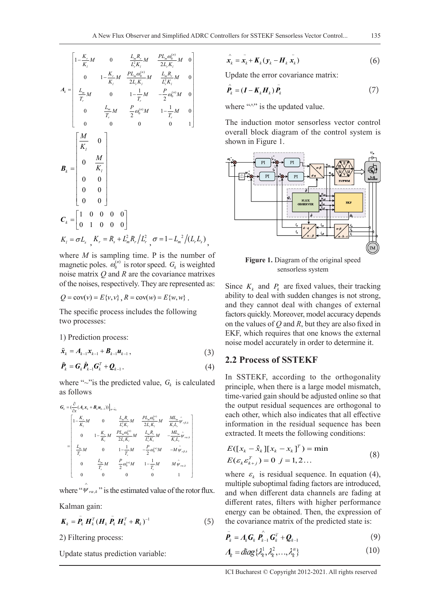$$
A_{k} = \begin{bmatrix} 1 - \frac{K_{r}}{K_{l}} M & 0 & \frac{L_{m}R_{r}}{L_{r}^{2}K_{l}} & \frac{PL_{m}\omega_{0}^{(n)}}{2L_{r}K_{l}} M & 0 \\ 0 & 1 - \frac{K_{r}}{K_{l}} M & \frac{PL_{m}\omega_{0}^{(n)}}{2L_{r}K_{l}} M & \frac{L_{m}R_{r}}{L_{r}^{2}K_{l}} M & 0 \\ \frac{L_{m}}{T_{r}} M & 0 & 1 - \frac{1}{T_{r}} M & -\frac{P}{2}\omega_{0}^{(n)}M & 0 \\ 0 & \frac{L_{m}}{T_{r}} M & \frac{P}{2}\omega_{0}^{(n)} M & 1 - \frac{1}{T_{r}} M & 0 \\ 0 & 0 & 0 & 0 & 1 \end{bmatrix}
$$

$$
B_{k} = \begin{bmatrix} \frac{M}{K_{l}} & 0 \\ 0 & \frac{M}{K_{l}} \\ 0 & 0 \\ 0 & 0 \end{bmatrix}
$$

$$
C_{k} = \begin{bmatrix} 1 & 0 & 0 & 0 & 0 \\ 0 & 1 & 0 & 0 & 0 \end{bmatrix}
$$

$$
K_{l} = \sigma L_{s} \, \frac{K_{r}}{K_{r}} = R_{s} + L_{m}^{2}R_{r}/L_{r}^{2} \, \sigma = 1 - L_{m}^{2}/(L_{r}L_{s})
$$

where *M* is sampling time. P is the number of magnetic poles.  $\omega_0^{(n)}$  is rotor speed.  $G_k$  is weighted noise matrix *Q* and *R* are the covariance matrixes of the noises, respectively. They are represented as:

$$
Q = cov(v) = E{v, v}, R = cov(w) = E{w, w}.
$$

The specific process includes the following two processes:

1) Prediction process:

$$
\tilde{\bm{x}}_k = A_{k-1} \bm{x}_{k-1} + \bm{B}_{k-1} \bm{u}_{k-1},
$$
\n(3)

$$
\tilde{\boldsymbol{P}}_k = \boldsymbol{G}_k \hat{\boldsymbol{P}}_{k-1} \boldsymbol{G}_k^T + \boldsymbol{Q}_{k-1} \,. \tag{4}
$$

where " $\sim$ "is the predicted value,  $G_k$  is calculated as follows

$$
\begin{aligned} \pmb{G}_{k} = & \big( \frac{\partial}{\partial x} ( \pmb{A}_{k} \pmb{x}_{k} + \pmb{B}_{k} \pmb{u}_{k-1} ) ) \big|_{x = \tilde{x}_{k}} \\ & = \begin{bmatrix} 1 - \frac{K_{r}}{K_{I}} \pmb{M} & 0 & \frac{L_{m} R_{r}}{L_{r}^{2} K_{I}} \pmb{M} & \frac{P L_{m} \omega_{0}^{(n)}}{2 L_{r} K_{I}} \pmb{M} & \frac{M L_{m}}{K_{I} L_{r}} \hat{\pmb{\psi}}_{r \beta, k} \\ 0 & 1 - \frac{K_{r}}{K_{I}} \pmb{M} & \frac{P L_{m} \omega_{0}^{(n)}}{2 L_{r} K_{I}} \pmb{M} & \frac{L_{m} R_{r}}{L_{r}^{2} K_{I}} \pmb{M} & - \frac{M L_{m}}{K_{I} L_{r}} \hat{\pmb{\psi}}_{r \alpha, k} \\ \frac{L_{m}}{T_{r}} \pmb{M} & 0 & 1 - \frac{1}{T_{r}} \pmb{M} & - \frac{P}{2} \omega_{0}^{(n)} \pmb{M} & -M \hat{\pmb{\psi}}_{r \beta, k} \\ 0 & \frac{L_{m}}{T_{r}} \pmb{M} & \frac{P}{2} \omega_{0}^{(n)} \pmb{M} & 1 - \frac{1}{T_{r}} \pmb{M} & M \hat{\pmb{\psi}}_{r \alpha, k} \\ 0 & 0 & 0 & 0 & 1 \end{bmatrix} \end{aligned}
$$

where " $\psi_{ra,k}$ " is the estimated value of the rotor flux.

Kalman gain:

∧

$$
\boldsymbol{K}_k = \tilde{\boldsymbol{P}_k} \boldsymbol{H}_k^T (\boldsymbol{H}_k \tilde{\boldsymbol{P}_k} \boldsymbol{H}_k^T + \boldsymbol{R}_k)^{-1}
$$
 (5)

2) Filtering process:

Update status prediction variable:

$$
\hat{\boldsymbol{x}}_k = \tilde{\boldsymbol{x}_k} + \boldsymbol{K}_k (\boldsymbol{y}_k - \boldsymbol{H}_k \tilde{\boldsymbol{x}_k})
$$
 (6)

Update the error covariance matrix:

$$
\hat{\boldsymbol{P}}_k = (\boldsymbol{I} - \boldsymbol{K}_k \boldsymbol{H}_k) \tilde{\boldsymbol{P}}_k
$$
\n(7)

where "^" is the updated value.

The induction motor sensorless vector control overall block diagram of the control system is shown in Figure 1.



sensorless system

Since  $K_k$  and  $P_k$  are fixed values, their tracking ability to deal with sudden changes is not strong, and they cannot deal with changes of external factors quickly. Moreover, model accuracy depends on the values of *Q* and *R*, but they are also fixed in EKF, which requires that one knows the external noise model accurately in order to determine it.

#### **2.2 Process of SSTEKF**

In SSTEKF, according to the orthogonality principle, when there is a large model mismatch, time-varied gain should be adjusted online so that the output residual sequences are orthogonal to each other, which also indicates that all effective information in the residual sequence has been extracted. It meets the following conditions:

$$
E([x_k - \hat{x}_k][x_k - x_k]^T) = \min
$$
  
\n
$$
E(\varepsilon_k \varepsilon_{k+j}^T) = 0 \ \ j = 1, 2 ...
$$
\n(8)

where  $\varepsilon_k$  is residual sequence. In equation (4), multiple suboptimal fading factors are introduced, and when different data channels are fading at different rates, filters with higher performance energy can be obtained. Then, the expression of the covariance matrix of the predicted state is:

$$
\boldsymbol{P}_{k} = A_{k} \boldsymbol{G}_{k} \boldsymbol{P}_{k-1} \boldsymbol{G}_{k}^{T} + \boldsymbol{Q}_{k-1}
$$
\n(9)

$$
\Lambda_k = diag\{\lambda_k^1, \lambda_k^2, \ldots, \lambda_k^n\}
$$
\n(10)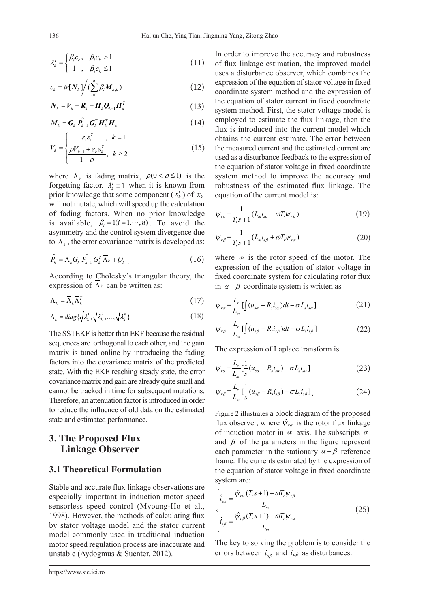$$
\lambda_k^i = \begin{cases} \beta_i c_k, & \beta_i c_k > 1 \\ 1, & \beta_i c_k \le 1 \end{cases} \tag{11}
$$

$$
c_k = tr[N_k] / (\sum_{i=1}^n \beta_i M_{k,ii})
$$
\n(12)

$$
\boldsymbol{N}_k = \boldsymbol{V}_k - \boldsymbol{R}_k - \boldsymbol{H}_k \boldsymbol{Q}_{k-1} \boldsymbol{H}_k^T
$$
\n(13)

$$
\boldsymbol{M}_{k} = \boldsymbol{G}_{k} \boldsymbol{P}_{k-1} \boldsymbol{G}_{k}^{T} \boldsymbol{H}_{k}^{T} \boldsymbol{H}_{k} \qquad (14)
$$
\n
$$
\begin{cases}\n\boldsymbol{\varepsilon}_{1} \boldsymbol{\varepsilon}_{1}^{T} , & k = 1\n\end{cases}
$$

$$
V_k = \begin{cases} \varepsilon_1 \varepsilon_1^T, & k = 1\\ \frac{\rho V_{k-1} + \varepsilon_k \varepsilon_k^T}{1 + \rho}, & k \ge 2 \end{cases}
$$
(15)

where  $\Lambda_k$  is fading matrix,  $\rho(0 < \rho \le 1)$  is the forgetting factor.  $\lambda_i^i = 1$  when it is known from prior knowledge that some component  $(x_k^i)$  of  $x_k$ will not mutate, which will speed up the calculation of fading factors. When no prior knowledge is available,  $\beta_i = 1(i = 1, \dots, n)$ . To avoid the asymmetry and the control system divergence due to  $\Lambda_k$ , the error covariance matrix is developed as:

$$
\tilde{P}_k = \Lambda_k G_k \stackrel{\wedge}{P_{k-1}} G_k^T \overline{\Lambda}_k + Q_{k-1}
$$
\n(16)

According to Cholesky's triangular theory, the expression of  $\Lambda_k$  can be written as:

$$
\Lambda_k = \overline{\Lambda}_k \overline{\Lambda}_k^T \tag{17}
$$

$$
\overline{\Lambda}_k = diag\{\sqrt{\lambda_k^1}, \sqrt{\lambda_k^2}, \dots, \sqrt{\lambda_k^n}\}\
$$
 (18)

The SSTEKF is better than EKF because the residual sequences are orthogonal to each other, and the gain matrix is tuned online by introducing the fading factors into the covariance matrix of the predicted state. With the EKF reaching steady state, the error covariance matrix and gain are already quite small and cannot be tracked in time for subsequent mutations. Therefore, an attenuation factor is introduced in order to reduce the influence of old data on the estimated state and estimated performance.

## **3. The Proposed Flux Linkage Observer**

## **3.1 Theoretical Formulation**

Stable and accurate flux linkage observations are especially important in induction motor speed sensorless speed control (Myoung-Ho et al., 1998). However, the methods of calculating flux by stator voltage model and the stator current model commonly used in traditional induction motor speed regulation process are inaccurate and unstable (Aydogmus & Suenter, 2012).

In order to improve the accuracy and robustness of flux linkage estimation, the improved model uses a disturbance observer, which combines the expression of the equation of stator voltage in fixed coordinate system method and the expression of the equation of stator current in fixed coordinate system method. First, the stator voltage model is employed to estimate the flux linkage, then the flux is introduced into the current model which obtains the current estimate. The error between the measured current and the estimated current are used as a disturbance feedback to the expression of the equation of stator voltage in fixed coordinate system method to improve the accuracy and robustness of the estimated flux linkage. The equation of the current model is:

$$
\psi_{ra} = \frac{1}{T_r s + 1} (L_m i_{sa} - \omega T_r \psi_{r\beta})
$$
\n(19)

$$
\psi_{r\beta} = \frac{1}{T_r s + 1} (L_m i_{s\beta} + \omega T_r \psi_{r\alpha})
$$
\n(20)

where  $\omega$  is the rotor speed of the motor. The expression of the equation of stator voltage in fixed coordinate system for calculating rotor flux in  $\alpha - \beta$  coordinate system is written as

$$
\psi_{r\alpha} = \frac{L_r}{L_m} \left[ \int (u_{s\alpha} - R_s i_{s\alpha}) dt - \sigma L_s i_{s\alpha} \right]
$$
 (21)

$$
\psi_{r\beta} = \frac{L_r}{L_m} \left[ \int (u_{s\beta} - R_s i_{s\beta}) dt - \sigma L_s i_{s\beta} \right]
$$
 (22)

The expression of Laplace transform is

$$
\psi_{r\alpha} = \frac{L_r}{L_m} \left[ \frac{1}{s} (u_{s\alpha} - R_s i_{s\alpha}) - \sigma L_s i_{s\alpha} \right]
$$
 (23)

$$
\psi_{r\beta} = \frac{L_r}{L_m} \left[ \frac{1}{s} (u_{s\beta} - R_s i_{s\beta}) - \sigma L_s i_{s\beta} \right].
$$
 (24)

Figure 2 illustrates a block diagram of the proposed flux observer, where  $\hat{\psi}_{r\alpha}$  is the rotor flux linkage of induction motor in  $\alpha$  axis. The subscripts  $\alpha$ and  $\beta$  of the parameters in the figure represent each parameter in the stationary  $\alpha - \beta$  reference frame. The currents estimated by the expression of the equation of stator voltage in fixed coordinate system are:

$$
\begin{cases}\n\hat{i}_{sa} = \frac{\hat{\psi}_{ra}(T_r s + 1) + \omega T_r \psi_{r\beta}}{L_m} \\
\hat{i}_{s\beta} = \frac{\hat{\psi}_{r\beta}(T_r s + 1) - \omega T_r \psi_{ra}}{L_m}\n\end{cases}
$$
\n(25)

The key to solving the problem is to consider the errors between  $i_{\alpha\beta}$  and  $i_{\alpha\beta}$  as disturbances.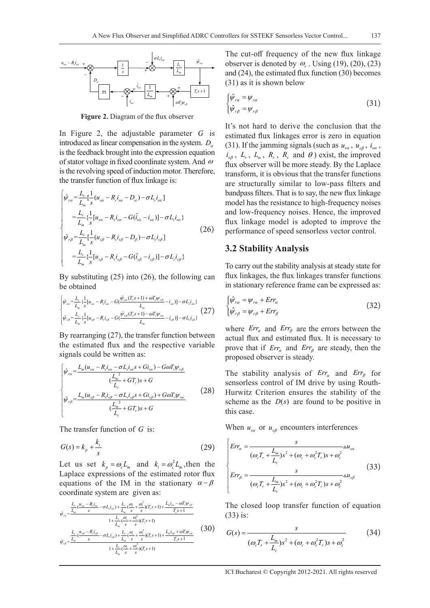

**Figure 2.** Diagram of the flux observer

In Figure 2, the adjustable parameter *G* is introduced as linear compensation in the system.  $D_{\alpha}$ is the feedback brought into the expression equation of stator voltage in fixed coordinate system. And <sup>ω</sup> is the revolving speed of induction motor. Therefore, the transfer function of flux linkage is:

$$
\begin{cases}\n\hat{\psi}_{ra} = \frac{L_r}{L_m} \left[ \frac{1}{s} (u_{sa} - R_s i_{sa} - D_a) - \sigma L_s i_{sa} \right] \\
= \frac{L_r}{L_m} \left\{ \frac{1}{s} [u_{sa} - R_s i_{sa} - G(\hat{i}_{sa} - i_{sa})] - \sigma L_s i_{sa} \right\} \\
\hat{\psi}_{r\beta} = \frac{L_r}{L_m} \left[ \frac{1}{s} (u_{s\beta} - R_s i_{s\beta} - D_\beta) - \sigma L_s i_{s\beta} \right] \\
= \frac{L_r}{L_m} \left\{ \frac{1}{s} [u_{s\beta} - R_s i_{s\beta} - G(\hat{i}_{s\beta} - i_{s\beta})] - \sigma L_s i_{s\beta} \right\}\n\end{cases} (26)
$$

By substituting (25) into (26), the following can be obtained

$$
\begin{cases} \hat{\psi}_{ra} = \frac{L_r}{L_m} \{ \frac{1}{s} [u_{sa} - R_s i_{sa} - G(\frac{\hat{\psi}_{ra}(T_r s + 1) + \omega T_r \psi_{r\beta}}{L_m} - i_{sa})] - \sigma L_s i_{sa} \} \\ \hat{\psi}_{r\beta} = \frac{L_r}{L_m} \{ \frac{1}{s} [u_{s\beta} - R_s i_{s\beta} - G(\frac{\hat{\psi}_{r\beta}(T_r s + 1) - \omega T_r \psi_{ra}}{L_m} - i_{s\beta})] - \sigma L_s i_{s\beta} \} \end{cases} (27)
$$

By rearranging (27), the transfer function between the estimated flux and the respective variable signals could be written as:

$$
\begin{cases}\n\hat{\psi}_{ra} = \frac{L_m (u_{sa} - R_s i_{sa} - \sigma L_s i_{sa} s + G i_{sa}) - G \omega T_r \psi_{r\beta}}{(\frac{L_m}{L_r} + G T_r)s + G} \\
\hat{\psi}_{r\beta} = \frac{L_m (u_{s\beta} - R_s i_{s\beta} - \sigma L_s i_{s\beta} s + G i_{s\beta}) + G \omega T_r \psi_{ra}}{(\frac{L_m}{L_r} + G T_r)s + G}\n\end{cases} (28)
$$

The transfer function of *G* is:

$$
G(s) = k_p + \frac{k_i}{s} \tag{29}
$$

Let us set  $k_p = \omega_c L_m$  and  $k_i = \omega_c^2 L_m$ , then the Laplace expressions of the estimated rotor flux equations of the IM in the stationary  $\alpha - \beta$ coordinate system are given as:

$$
\hat{\psi}_{ra} = \frac{\frac{L_r}{L_m} \left(\frac{u_{sa} - R_s i_{sa}}{s} - \sigma L_s i_{sa}\right) + \frac{L_r}{L_m} \left(\frac{\omega_c}{s} + \frac{\omega_c^2}{s}\right) (T_r s + 1) + \frac{L_m i_{sa} - \omega T_r \psi_{r\beta}}{T_r s + 1}}{1 + \frac{L_r}{L_m} \left(\frac{\omega_c}{s} + \frac{\omega_c^2}{s}\right) (T_r s + 1)}
$$
\n
$$
\hat{\psi}_{r\beta} = \frac{\frac{L_r}{L_m} \left(\frac{u_{s\beta} - R_s i_{s\beta}}{s} - \sigma L_s i_{s\beta}\right) + \frac{L_r}{L_m} \left(\frac{\omega_c}{s} + \frac{\omega_c^2}{s}\right) (T_r s + 1) + \frac{L_m i_{s\beta} + \omega T_r \psi_{ra}}{T_r s + 1}}{1 + \frac{L_r}{L_m} \left(\frac{\omega_c}{s} + \frac{\omega_c^2}{s}\right) (T_r s + 1)}
$$
\n(30)

The cut-off frequency of the new flux linkage observer is denoted by  $\omega_c$ . Using (19), (20), (23) and (24), the estimated flux function (30) becomes (31) as it is shown below

$$
\begin{cases}\n\hat{\psi}_{r\alpha} = \psi_{r\alpha} \\
\hat{\psi}_{r\beta} = \psi_{r\beta}\n\end{cases}
$$
\n(31)

It's not hard to derive the conclusion that the estimated flux linkages error is zero in equation (31). If the jamming signals (such as  $u_{sa}$ ,  $u_{s\beta}$ ,  $i_{sa}$ ,  $i_{s\beta}$ ,  $L_r$ ,  $L_m$ ,  $R_r$ ,  $R_s$  and  $\theta$ ) exist, the improved flux observer will be more steady. By the Laplace transform, it is obvious that the transfer functions are structurally similar to low-pass filters and bandpass filters. That is to say, the new flux linkage model has the resistance to high-frequency noises and low-frequency noises. Hence, the improved flux linkage model is adopted to improve the performance of speed sensorless vector control.

#### **3.2 Stability Analysis**

To carry out the stability analysis at steady state for flux linkages, the flux linkages transfer functions in stationary reference frame can be expressed as:

$$
\begin{cases}\n\hat{\psi}_{r\alpha} = \psi_{r\alpha} + Err_{\alpha} \\
\hat{\psi}_{r\beta} = \psi_{r\beta} + Err_{\beta}\n\end{cases}
$$
\n(32)

where  $Err_a$  and  $Err_\beta$  are the errors between the actual flux and estimated flux. It is necessary to prove that if  $Err_a$  and  $Err_b$  are steady, then the proposed observer is steady.

The stability analysis of  $Err_\alpha$  and  $Err_\beta$  for sensorless control of IM drive by using Routh-Hurwitz Criterion ensures the stability of the scheme as the  $D(s)$  are found to be positive in this case.

When  $u_{sa}$  or  $u_{sb}$  encounters interferences

$$
\begin{cases}\nErr_{\alpha} = \frac{s}{(\omega_c T_r + \frac{L_m}{L_r})s^2 + (\omega_c + \omega_c^2 T_r)s + \omega_c^2} \Delta u_{sa} \\
Err_{\beta} = \frac{s}{(\omega_c T_r + \frac{L_m}{L_r})s^2 + (\omega_c + \omega_c^2 T_r)s + \omega_c^2}\n\end{cases} (33)
$$

The closed loop transfer function of equation (33) is:

$$
G(s) = \frac{s}{(\omega_c T_r + \frac{L_m}{L_r})s^2 + (\omega_c + \omega_c^2 T_r)s + \omega_c^2}
$$
(34)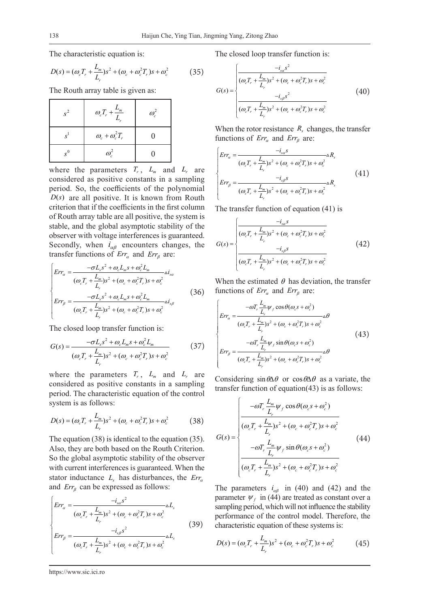The characteristic equation is:

$$
D(s) = (\omega_c T_r + \frac{L_m}{L_r})s^2 + (\omega_c + \omega_c^2 T_r)s + \omega_c^2
$$
 (35)

The Routh array table is given as:

| $s^2$          | $\omega_c T_r + \frac{L_m}{L_r}$ | $\omega_c^2$ |
|----------------|----------------------------------|--------------|
| $\mathbf{c}$   | $\omega_c + \omega_c^2 T_r$      |              |
| $\mathbf{e}^0$ | $\omega_c^2$                     |              |

where the parameters  $T_r$ ,  $L_m$  and  $L_r$  are considered as positive constants in a sampling period. So, the coefficients of the polynomial  $D(s)$  are all positive. It is known from Routh criterion that if the coefficients in the first column of Routh array table are all positive, the system is stable, and the global asymptotic stability of the observer with voltage interferences is guaranteed. Secondly, when  $i_{\alpha\beta}$  encounters changes, the transfer functions of  $Err_a$  and  $Err_b$  are:

$$
\begin{cases}\nErr_{\alpha} = \frac{-\sigma L_{s}s^{2} + \omega_{c}L_{m}s + \omega_{c}^{2}L_{m}}{(\omega_{c}T_{r} + \frac{L_{m}}{L_{r}})s^{2} + (\omega_{c} + \omega_{c}^{2}T_{r})s + \omega_{c}^{2}}\Delta i_{sa} \\
Err_{\beta} = \frac{-\sigma L_{s}s^{2} + \omega_{c}L_{m}s + \omega_{c}^{2}L_{m}}{(\omega_{c}T_{r} + \frac{L_{m}}{L_{r}})s^{2} + (\omega_{c} + \omega_{c}^{2}T_{r})s + \omega_{c}^{2}}\Delta i_{sb}\n\end{cases}
$$
\n(36)

The closed loop transfer function is:

$$
G(s) = \frac{-\sigma L_s s^2 + \omega_c L_m s + \omega_c^2 L_m}{(\omega_c T_r + \frac{L_m}{L_r})s^2 + (\omega_c + \omega_c^2 T_r)s + \omega_c^2}
$$
(37)

where the parameters  $T_r$ ,  $L_m$  and  $L_r$  are considered as positive constants in a sampling period. The characteristic equation of the control system is as follows:

$$
D(s) = (\omega_c T_r + \frac{L_m}{L_r})s^2 + (\omega_c + \omega_c^2 T_r)s + \omega_c^2
$$
 (38)

The equation (38) is identical to the equation (35). Also, they are both based on the Routh Criterion. So the global asymptotic stability of the observer with current interferences is guaranteed. When the stator inductance  $L<sub>s</sub>$  has disturbances, the  $Err<sub>a</sub>$ and  $Err_{\beta}$  can be expressed as follows:

$$
\begin{cases}\nErr_{\alpha} = \frac{-i_{s\alpha}s^{2}}{(\omega_{c}T_{r} + \frac{L_{m}}{L_{r}})s^{2} + (\omega_{c} + \omega_{c}^{2}T_{r})s + \omega_{c}^{2}}\n\end{cases}
$$
\n
$$
Err_{\beta} = \frac{-i_{s\beta}s^{2}}{(\omega_{c}T_{r} + \frac{L_{m}}{L_{r}})s^{2} + (\omega_{c} + \omega_{c}^{2}T_{r})s + \omega_{c}^{2}}\n\Delta L_{s}
$$
\n(39)

The closed loop transfer function is:

$$
G(s) = \begin{cases} \frac{-i_{sa}s^2}{(\omega_c T_r + \frac{L_m}{L_r})s^2 + (\omega_c + \omega_c^2 T_r)s + \omega_c^2} \\ \frac{-i_{s\beta}s^2}{(\omega_c T_r + \frac{L_m}{L_r})s^2 + (\omega_c + \omega_c^2 T_r)s + \omega_c^2} \end{cases}
$$
(40)

When the rotor resistance  $R_s$  changes, the transfer functions of  $Err_\alpha$  and  $Err_\beta$  are:

$$
\begin{cases}\nErr_a = \frac{-i_{sa}s}{(\omega_c T_r + \frac{L_m}{L_r})s^2 + (\omega_c + \omega_c^2 T_r)s + \omega_c^2} \Delta R_s \\
Err_\beta = \frac{-i_{s\beta}s}{(\omega_c T_r + \frac{L_m}{L_r})s^2 + (\omega_c + \omega_c^2 T_r)s + \omega_c^2}\Delta R_s\n\end{cases} (41)
$$

The transfer function of equation (41) is

$$
G(s) = \begin{cases} \frac{-i_{sa}s}{(\omega_c T_r + \frac{L_m}{L_r})s^2 + (\omega_c + \omega_c^2 T_r)s + \omega_c^2} \\ \frac{-i_{s\beta}s}{(\omega_c T_r + \frac{L_m}{L_r})s^2 + (\omega_c + \omega_c^2 T_r)s + \omega_c^2} \end{cases}
$$
(42)

When the estimated  $\theta$  has deviation, the transfer functions of  $Err_\alpha$  and  $Err_\beta$  are:

$$
\begin{cases}\n-mT_r \frac{L_m}{L_r} \psi_f \cos \theta(\omega_c s + \omega_c^2) \\
Err_a = \frac{(\omega_c T_r + \frac{L_m}{L_r})s^2 + (\omega_c + \omega_c^2 T_r)s + \omega_c^2}{(\omega_c T_r + \frac{L_m}{L_r} \psi_f \sin \theta(\omega_c s + \omega_c^2))} \Delta \theta \\
Err_\beta = \frac{-\omega T_r \frac{L_m}{L_r} \psi_f \sin \theta(\omega_c s + \omega_c^2)}{(\omega_c T_r + \frac{L_m}{L_r})s^2 + (\omega_c + \omega_c^2 T_r)s + \omega_c^2}\n\end{cases} (43)
$$

Considering sin $\theta \Delta \theta$  or cos  $\theta \Delta \theta$  as a variate, the transfer function of equation(43) is as follows:

$$
G(s) = \begin{cases}\n-\omega T_r \frac{L_m}{L_r} \psi_f \cos \theta(\omega_c s + \omega_c^2) \\
(\omega_c T_r + \frac{L_m}{L_r}) s^2 + (\omega_c + \omega_c^2 T_r) s + \omega_c^2 \\
-\omega T_r \frac{L_m}{L_r} \psi_f \sin \theta(\omega_c s + \omega_c^2) \\
(\omega_c T_r + \frac{L_m}{L_r}) s^2 + (\omega_c + \omega_c^2 T_r) s + \omega_c^2\n\end{cases}
$$
\n(44)

The parameters  $i_{\alpha\beta}$  in (40) and (42) and the parameter  $\psi_f$  in (44) are treated as constant over a sampling period, which will not influence the stability performance of the control model. Therefore, the characteristic equation of these systems is:

$$
D(s) = (\omega_c T_r + \frac{L_m}{L_r})s^2 + (\omega_c + \omega_c^2 T_r)s + \omega_c^2
$$
 (45)

https://www.sic.ici.ro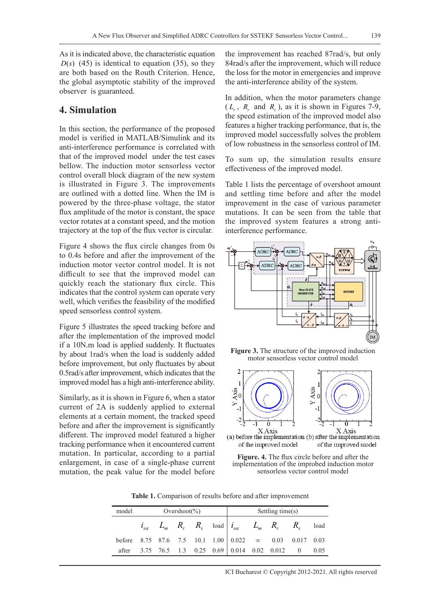As it is indicated above, the characteristic equation  $D(s)$  (45) is identical to equation (35), so they are both based on the Routh Criterion. Hence, the global asymptotic stability of the improved observer is guaranteed.

## **4. Simulation**

In this section, the performance of the proposed model is verified in MATLAB/Simulink and its anti-interference performance is correlated with that of the improved model under the test cases bellow. The induction motor sensorless vector control overall block diagram of the new system is illustrated in Figure 3. The improvements are outlined with a dotted line. When the IM is powered by the three-phase voltage, the stator flux amplitude of the motor is constant, the space vector rotates at a constant speed, and the motion trajectory at the top of the flux vector is circular.

Figure 4 shows the flux circle changes from 0s to 0.4s before and after the improvement of the induction motor vector control model. It is not difficult to see that the improved model can quickly reach the stationary flux circle. This indicates that the control system can operate very well, which verifies the feasibility of the modified speed sensorless control system.

Figure 5 illustrates the speed tracking before and after the implementation of the improved model if a 10N.m load is applied suddenly. It fluctuates by about 1rad/s when the load is suddenly added before improvement, but only fluctuates by about 0.5rad/s after improvement, which indicates that the improved model has a high anti-interference ability.

Similarly, as it is shown in Figure 6, when a stator current of 2A is suddenly applied to external elements at a certain moment, the tracked speed before and after the improvement is significantly different. The improved model featured a higher tracking performance when it encountered current mutation. In particular, according to a partial enlargement, in case of a single-phase current mutation, the peak value for the model before

the improvement has reached 87rad/s, but only 84rad/s after the improvement, which will reduce the loss for the motor in emergencies and improve the anti-interference ability of the system.

In addition, when the motor parameters change  $(L_r, R_r$  and  $R_s$ ), as it is shown in Figures 7-9, the speed estimation of the improved model also features a higher tracking performance, that is, the improved model successfully solves the problem of low robustness in the sensorless control of IM.

To sum up, the simulation results ensure effectiveness of the improved model.

Table 1 lists the percentage of overshoot amount and settling time before and after the model improvement in the case of various parameter mutations. It can be seen from the table that the improved system features a strong antiinterference performance.



**Figure 3.** The structure of the improved induction motor sensorless vector control model



(a) before the implementation (b) after the implementation of the improved model of the improved model



**Table 1.** Comparison of results before and after improvement

| model                                                                                                               | Overshoot(%) |  |  |  | Settling time(s) |                                                                                                                                                                      |  |  |  |  |
|---------------------------------------------------------------------------------------------------------------------|--------------|--|--|--|------------------|----------------------------------------------------------------------------------------------------------------------------------------------------------------------|--|--|--|--|
|                                                                                                                     |              |  |  |  |                  | $i_{s\alpha} \quad \  L_m \quad \  R_r \quad \  R_s \quad \  \text{load} \ \Big  \ i_{s\alpha} \quad \  \  L_m \quad \  R_r \quad \  \  R_s \quad \  \  \text{load}$ |  |  |  |  |
| before 8.75 87.6 7.5 10.1 1.00 $\begin{array}{ l} 0.022 \quad \infty \quad 0.03 \quad 0.017 \quad 0.03 \end{array}$ |              |  |  |  |                  |                                                                                                                                                                      |  |  |  |  |
| after                                                                                                               |              |  |  |  |                  | 3.75 76.5 1.3 0.25 0.69 0.014 0.02 0.012 0 0.05                                                                                                                      |  |  |  |  |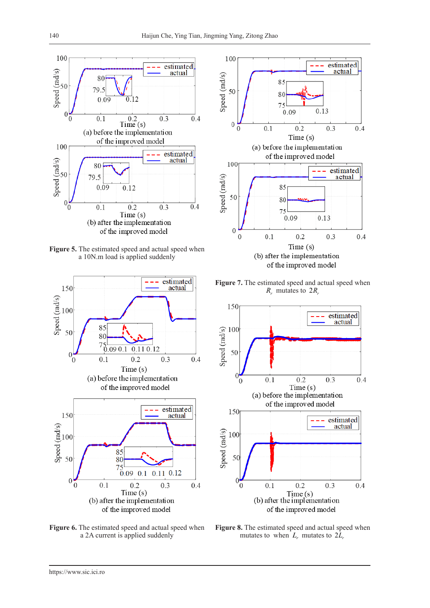

**Figure 5.** The estimated speed and actual speed when a 10N.m load is applied suddenly



**Figure 6.** The estimated speed and actual speed when a 2A current is applied suddenly



**Figure 7.** The estimated speed and actual speed when  $R_r$  mutates to  $2R_r$ 



**Figure 8.** The estimated speed and actual speed when mutates to when  $L_r$  mutates to  $2\bar{L}_r$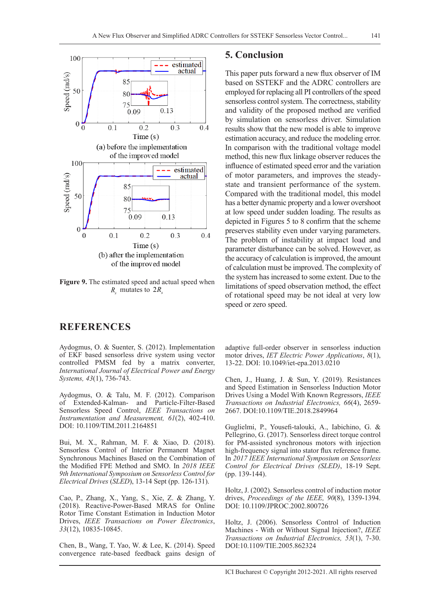

**Figure 9.** The estimated speed and actual speed when  $R_{\rm s}$  mutates to  $2R_{\rm s}$ 

## **REFERENCES**

Aydogmus, O. & Suenter, S. (2012). Implementation of EKF based sensorless drive system using vector controlled PMSM fed by a matrix converter, *International Journal of Electrical Power and Energy Systems, 43*(1), 736-743.

Aydogmus, O. & Talu, M. F. (2012). Comparison of Extended-Kalman- and Particle-Filter-Based Sensorless Speed Control, *IEEE Transactions on Instrumentation and Measurement, 61*(2), 402-410. DOI: 10.1109/TIM.2011.2164851

Bui, M. X., Rahman, M. F. & Xiao, D. (2018). Sensorless Control of Interior Permanent Magnet Synchronous Machines Based on the Combination of the Modified FPE Method and SMO. In *2018 IEEE 9th International Symposium on Sensorless Control for Electrical Drives* (*SLED*), 13-14 Sept (pp. 126-131).

Cao, P., Zhang, X., Yang, S., Xie, Z. & Zhang, Y. (2018). Reactive-Power-Based MRAS for Online Rotor Time Constant Estimation in Induction Motor Drives, *IEEE Transactions on Power Electronics*, *33*(12), 10835-10845.

Chen, B., Wang, T. Yao, W. & Lee, K. (2014). Speed convergence rate-based feedback gains design of

## **5. Conclusion**

This paper puts forward a new flux observer of IM based on SSTEKF and the ADRC controllers are employed for replacing all PI controllers of the speed sensorless control system. The correctness, stability and validity of the proposed method are verified by simulation on sensorless driver. Simulation results show that the new model is able to improve estimation accuracy, and reduce the modeling error. In comparison with the traditional voltage model method, this new flux linkage observer reduces the influence of estimated speed error and the variation of motor parameters, and improves the steadystate and transient performance of the system. Compared with the traditional model, this model has a better dynamic property and a lower overshoot at low speed under sudden loading. The results as depicted in Figures 5 to 8 confirm that the scheme preserves stability even under varying parameters. The problem of instability at impact load and parameter disturbance can be solved. However, as the accuracy of calculation is improved, the amount of calculation must be improved. The complexity of the system has increased to some extent. Due to the limitations of speed observation method, the effect of rotational speed may be not ideal at very low speed or zero speed.

adaptive full-order observer in sensorless induction motor drives, *IET Electric Power Applications*, *8*(1), 13-22. DOI: 10.1049/iet-epa.2013.0210

Chen, J., Huang, J. & Sun, Y. (2019). Resistances and Speed Estimation in Sensorless Induction Motor Drives Using a Model With Known Regressors, *IEEE Transactions on Industrial Electronics, 66*(4), 2659- 2667. DOI:10.1109/TIE.2018.2849964

Guglielmi, P., Yousefi-talouki, A., Iabichino, G. & Pellegrino, G. (2017). Sensorless direct torque control for PM-assisted synchronous motors with injection high-frequency signal into stator flux reference frame. In *2017 IEEE International Symposium on Sensorless Control for Electrical Drives (SLED)*, 18-19 Sept. (pp. 139-144).

Holtz, J. (2002). Sensorless control of induction motor drives, *Proceedings of the IEEE, 90*(8), 1359-1394. DOI: 10.1109/JPROC.2002.800726

Holtz, J. (2006). Sensorless Control of Induction Machines - With or Without Signal Injection?, *IEEE Transactions on Industrial Electronics, 53*(1), 7-30. DOI:10.1109/TIE.2005.862324